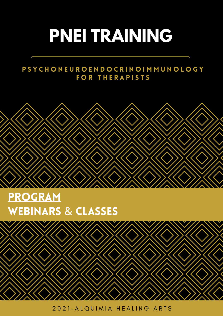## **PNEI TRAINING**

### P S Y C H O N E U R O E N D O C R I N O I M M U N O L O G Y FOR THERAPISTS



### PROGRAM WEBINARS & CLASSES

2021-ALQUIMIA HEALING ARTS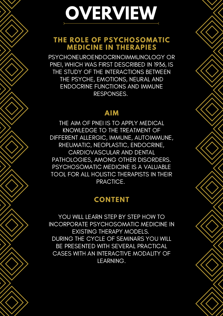# **OVERVIEW**

### **THE ROLE OF PSYCHOSOMATIC MEDICINE IN THERAPIES**

PSYCHONEUROENDOCRINOIMMUNOLOGY OR PNEI, WHICH WAS FIRST DESCRIBED IN 1936, IS THE STUDY OF THE INTERACTIONS BETWEEN THE PSYCHE, EMOTIONS, NEURAL AND ENDOCRINE FUNCTIONS AND IMMUNE RESPONSES.

#### **AIM**

THE AIM OF PNEI IS TO APPLY MEDICAL KNOWLEDGE TO THE TREATMENT OF DIFFERENT ALLERGIC, IMMUNE, AUTOIMMUNE, RHEUMATIC, NEOPLASTIC, ENDOCRINE, CARDIOVASCULAR AND DENTAL PATHOLOGIES, AMONG OTHER DISORDERS. PSYCHOSOMATIC MEDICINE IS A VALUABLE TOOL FOR ALL HOLISTIC THERAPISTS IN THEIR PRACTICE.

### 2 days November **CONTENT**

YOU WILL LEARN STEP BY STEP HOW TO INCORPORATE PSYCHOSOMATIC MEDICINE IN EXISTING THERAPY MODELS. DURING THE CYCLE OF SEMINARS YOU WILL BE PRESENTED WITH SEVERAL PRACTICAL CASES WITH AN INTERACTIVE MODALITY OF LEARNING.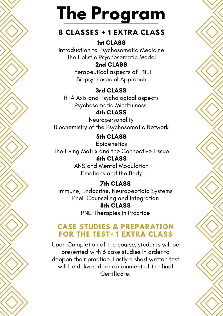## **The Program**

### **8 CLASSES + 1 EXTRA CLASS**

#### 1st CLASS

Introduction to Psychosomatic Medicine The Holistic Psychosomatic Model

#### 2nd CLASS

Therapeutical aspects of PNEI Biopsychosocial Approach

### 3rd CLASS

HPA Axis and Psychological aspects Psychosomatic Mindfulness

#### 4th CLASS

Neuropersonality Biochemistry of the Psychosomatic Network

### 5th CLASS

**Epigenetics** The Living Matrix and the Connective Tissue 6th CLASS ANS and Mental Modulation

Emotions and the Body

### 7th CLASS

Immune, Endocrine, Neuropeptidic Systems Pnei Counseling and Integration 8th CLASS PNEI Therapies in Practice

#### **CASE STUDIES & PREPARATION FOR THE TEST- 1 EXTRA CLASS**

Upon Completion of the course, students will be presented with 3 case studies in order to deepen their practice. Lastly a short written test will be delivered for obtainment of the final Certificate.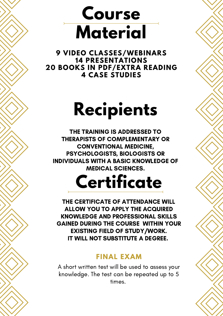### **Course Material**

 **VIDEO CLASSES/WEBINARS PRESENTATIONS BOOKS IN PDF/EXTRA READING CASE STUDIES**

### **Recipients**

THE TRAINING IS ADDRESSED TO THERAPISTS OF COMPLEMENTARY OR CONVENTIONAL MEDICINE, PSYCHOLOGISTS, BIOLOGISTS OR INDIVIDUALS WITH A BASIC KNOWLEDGE OF MEDICAL SCIENCES.

## **Certificate**

THE CERTIFICATE OF ATTENDANCE WILL ALLOW YOU TO APPLY THE ACQUIRED KNOWLEDGE AND PROFESSIONAL SKILLS GAINED DURING THE COURSE WITHIN YOUR EXISTING FIELD OF STUDY/WORK. IT WILL NOT SUBSTITUTE A DEGREE.

#### **FINAL EXAM**

A short written test will be used to assess your knowledge. The test can be repeated up to 5 times.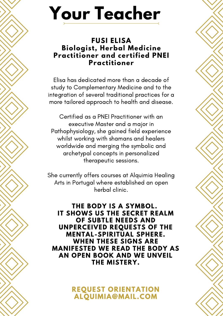## **Your Teacher**

#### **FUSI ELISA Biologist, Herbal Medicine Practitioner and certified PNEI Practitioner**

Elisa has dedicated more than a decade of study to Complementary Medicine and to the integration of several traditional practices for a more tailored approach to health and disease.

Certified as a PNEI Practitioner with an executive Master and a major in Pathophysiology, she gained field experience whilst working with shamans and healers worldwide and merging the symbolic and archetypal concepts in personalized therapeutic sessions.

She currently offers courses at Alquimia Healing Arts in Portugal where established an open herbal clinic.

**THE BODY IS A SYMBOL. IT SHOWS US THE SECRET REALM OF SUBTLE NEEDS AND UNPERCEIVED REQUESTS OF THE MENTAL-SPIRITUAL SPHERE. WHEN THESE SIGNS ARE MANIFESTED WE READ THE BODY AS AN OPEN BOOK AND WE UNVEIL THE MISTERY.**

> **REQUEST ORIENTATION ALQUIMIA@MAIL.COM**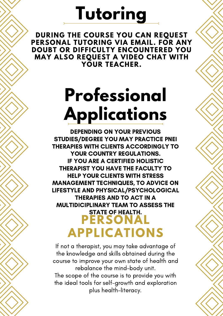### **Tutoring**

**DURING THE COURSE YOU CAN REQUEST PERSONAL TUTORING VIA EMAIL. FOR ANY DOUBT OR DIFFICULTY ENCOUNTERED YOU MAY ALSO REQUEST A VIDEO CHAT WITH YOUR TEACHER.**

## **Professional Applications**

DEPENDING ON YOUR PREVIOUS STUDIES/DEGREE YOU MAY PRACTICE PNEI THERAPIES WITH CLIENTS ACCORDINGLY TO YOUR COUNTRY REGULATIONS. IF YOU ARE A CERTIFIED HOLISTIC THERAPIST YOU HAVE THE FACULTY TO HELP YOUR CLIENTS WITH STRESS MANAGEMENT TECHNIQUES, TO ADVICE ON LIFESTYLE AND PHYSICAL/PSYCHOLOGICAL THERAPIES AND TO ACT IN A MULTIDICIPLINARY TEAM TO ASSESS THE STATE OF HEALTH. **PERSONAL APPLICATIONS**

If not a therapist, you may take advantage of the knowledge and skills obtained during the course to improve your own state of health and rebalance the mind-body unit. The scope of the course is to provide you with the ideal tools for self-growth and exploration

plus health-literacy.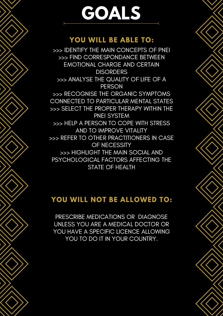## **GOALS**

#### **YOU WILL BE ABLE TO:**

>>> IDENTIFY THE MAIN CONCEPTS OF PNEI >>> FIND CORRESPONDANCE BETWEEN EMOTIONAL CHARGE AND CERTAIN **DISORDERS** >>> ANALYSE THE QUALITY OF LIFE OF A **PERSON** >>> RECOGNISE THE ORGANIC SYMPTOMS CONNECTED TO PARTICULAR MENTAL STATES >>> SELECT THE PROPER THERAPY WITHIN THE PNEI SYSTEM >>> HELP A PERSON TO COPE WITH STRESS AND TO IMPROVE VITALITY >>> REFER TO OTHER PRACTITIONERS IN CASE OF NECESSITY >>> HIGHLIGHT THE MAIN SOCIAL AND PSYCHOLOGICAL FACTORS AFFECTING THE STATE OF HEALTH

### 2 days November **YOU WILL NOT BE ALLOWED TO:**

PRESCRIBE MEDICATIONS OR DIAGNOSE UNLESS YOU ARE A MEDICAL DOCTOR OR YOU HAVE A SPECIFIC LICENCE ALLOWING YOU TO DO IT IN YOUR COUNTRY.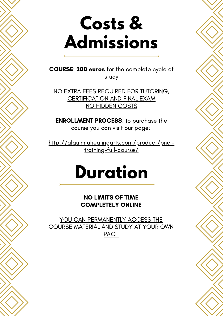### **Costs & Admissions**

COURSE: 200 euros for the complete cycle of study

NO EXTRA FEES REQUIRED FOR TUTORING, **CERTIFICATION AND FINAL EXAM NO HIDDEN COSTS** 

ENROLLMENT PROCESS: to purchase the course you can visit our page:

http://alquimiahealingarts.com/product/pneitraining-full-course/

### **Duration**

NO LIMITS OF TIME COMPLETELY ONLINE

YOU CAN PERMANENTLY ACCESS THE COURSE MATERIAL AND STUDY AT YOUR OWN **PACE**